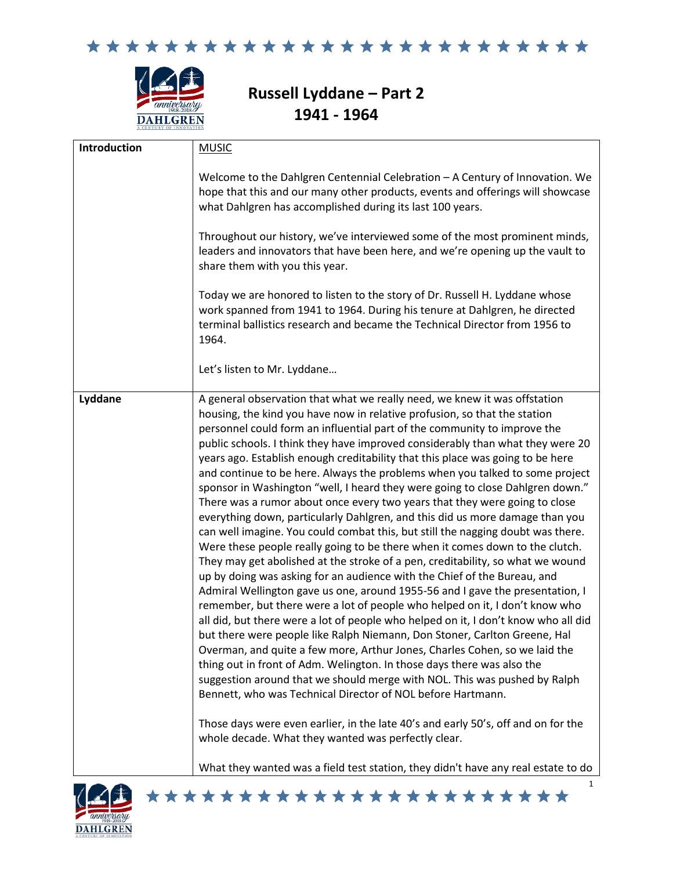



# **Russell Lyddane – Part 2 1941 - 1964**

| Introduction | <b>MUSIC</b>                                                                                                                                                                                                                                                                                                                                                                                                                                                                                                                                                                                                                                                                                                                                                                                                                                                                                                                                                                                                                                                                                                                                                                                                                                                                                                                                                                                                                                                                                                                                                                                                                                                                                                                                                                                                                                                                                                                                   |
|--------------|------------------------------------------------------------------------------------------------------------------------------------------------------------------------------------------------------------------------------------------------------------------------------------------------------------------------------------------------------------------------------------------------------------------------------------------------------------------------------------------------------------------------------------------------------------------------------------------------------------------------------------------------------------------------------------------------------------------------------------------------------------------------------------------------------------------------------------------------------------------------------------------------------------------------------------------------------------------------------------------------------------------------------------------------------------------------------------------------------------------------------------------------------------------------------------------------------------------------------------------------------------------------------------------------------------------------------------------------------------------------------------------------------------------------------------------------------------------------------------------------------------------------------------------------------------------------------------------------------------------------------------------------------------------------------------------------------------------------------------------------------------------------------------------------------------------------------------------------------------------------------------------------------------------------------------------------|
|              | Welcome to the Dahlgren Centennial Celebration - A Century of Innovation. We<br>hope that this and our many other products, events and offerings will showcase<br>what Dahlgren has accomplished during its last 100 years.<br>Throughout our history, we've interviewed some of the most prominent minds,<br>leaders and innovators that have been here, and we're opening up the vault to<br>share them with you this year.<br>Today we are honored to listen to the story of Dr. Russell H. Lyddane whose<br>work spanned from 1941 to 1964. During his tenure at Dahlgren, he directed<br>terminal ballistics research and became the Technical Director from 1956 to<br>1964.                                                                                                                                                                                                                                                                                                                                                                                                                                                                                                                                                                                                                                                                                                                                                                                                                                                                                                                                                                                                                                                                                                                                                                                                                                                             |
|              | Let's listen to Mr. Lyddane                                                                                                                                                                                                                                                                                                                                                                                                                                                                                                                                                                                                                                                                                                                                                                                                                                                                                                                                                                                                                                                                                                                                                                                                                                                                                                                                                                                                                                                                                                                                                                                                                                                                                                                                                                                                                                                                                                                    |
| Lyddane      | A general observation that what we really need, we knew it was offstation<br>housing, the kind you have now in relative profusion, so that the station<br>personnel could form an influential part of the community to improve the<br>public schools. I think they have improved considerably than what they were 20<br>years ago. Establish enough creditability that this place was going to be here<br>and continue to be here. Always the problems when you talked to some project<br>sponsor in Washington "well, I heard they were going to close Dahlgren down."<br>There was a rumor about once every two years that they were going to close<br>everything down, particularly Dahlgren, and this did us more damage than you<br>can well imagine. You could combat this, but still the nagging doubt was there.<br>Were these people really going to be there when it comes down to the clutch.<br>They may get abolished at the stroke of a pen, creditability, so what we wound<br>up by doing was asking for an audience with the Chief of the Bureau, and<br>Admiral Wellington gave us one, around 1955-56 and I gave the presentation, I<br>remember, but there were a lot of people who helped on it, I don't know who<br>all did, but there were a lot of people who helped on it, I don't know who all did<br>but there were people like Ralph Niemann, Don Stoner, Carlton Greene, Hal<br>Overman, and quite a few more, Arthur Jones, Charles Cohen, so we laid the<br>thing out in front of Adm. Welington. In those days there was also the<br>suggestion around that we should merge with NOL. This was pushed by Ralph<br>Bennett, who was Technical Director of NOL before Hartmann.<br>Those days were even earlier, in the late 40's and early 50's, off and on for the<br>whole decade. What they wanted was perfectly clear.<br>What they wanted was a field test station, they didn't have any real estate to do |

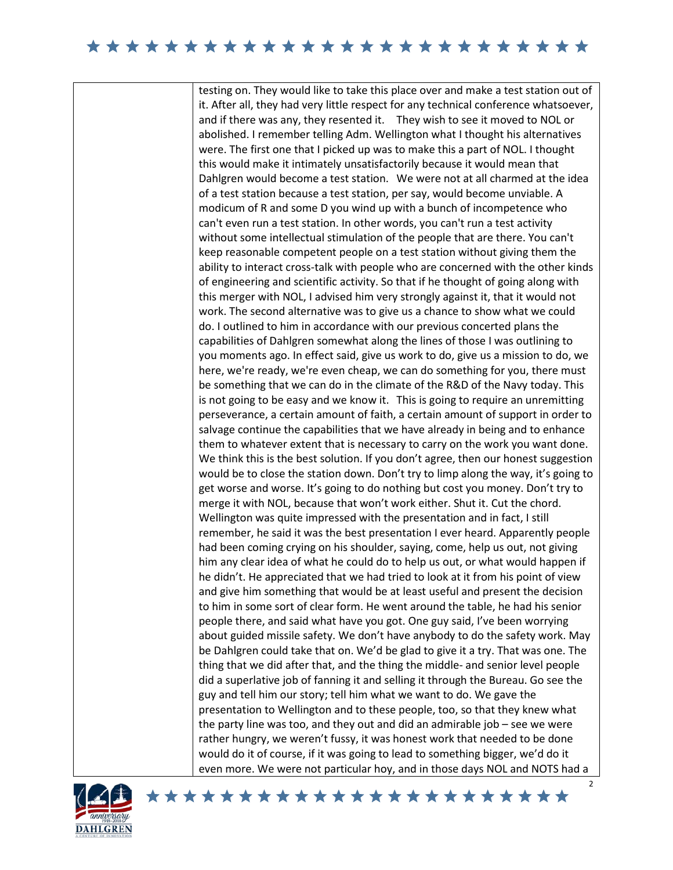### 

testing on. They would like to take this place over and make a test station out of it. After all, they had very little respect for any technical conference whatsoever, and if there was any, they resented it. They wish to see it moved to NOL or abolished. I remember telling Adm. Wellington what I thought his alternatives were. The first one that I picked up was to make this a part of NOL. I thought this would make it intimately unsatisfactorily because it would mean that Dahlgren would become a test station. We were not at all charmed at the idea of a test station because a test station, per say, would become unviable. A modicum of R and some D you wind up with a bunch of incompetence who can't even run a test station. In other words, you can't run a test activity without some intellectual stimulation of the people that are there. You can't keep reasonable competent people on a test station without giving them the ability to interact cross-talk with people who are concerned with the other kinds of engineering and scientific activity. So that if he thought of going along with this merger with NOL, I advised him very strongly against it, that it would not work. The second alternative was to give us a chance to show what we could do. I outlined to him in accordance with our previous concerted plans the capabilities of Dahlgren somewhat along the lines of those I was outlining to you moments ago. In effect said, give us work to do, give us a mission to do, we here, we're ready, we're even cheap, we can do something for you, there must be something that we can do in the climate of the R&D of the Navy today. This is not going to be easy and we know it. This is going to require an unremitting perseverance, a certain amount of faith, a certain amount of support in order to salvage continue the capabilities that we have already in being and to enhance them to whatever extent that is necessary to carry on the work you want done. We think this is the best solution. If you don't agree, then our honest suggestion would be to close the station down. Don't try to limp along the way, it's going to get worse and worse. It's going to do nothing but cost you money. Don't try to merge it with NOL, because that won't work either. Shut it. Cut the chord. Wellington was quite impressed with the presentation and in fact, I still remember, he said it was the best presentation I ever heard. Apparently people had been coming crying on his shoulder, saying, come, help us out, not giving him any clear idea of what he could do to help us out, or what would happen if he didn't. He appreciated that we had tried to look at it from his point of view and give him something that would be at least useful and present the decision to him in some sort of clear form. He went around the table, he had his senior people there, and said what have you got. One guy said, I've been worrying about guided missile safety. We don't have anybody to do the safety work. May be Dahlgren could take that on. We'd be glad to give it a try. That was one. The thing that we did after that, and the thing the middle- and senior level people did a superlative job of fanning it and selling it through the Bureau. Go see the guy and tell him our story; tell him what we want to do. We gave the presentation to Wellington and to these people, too, so that they knew what the party line was too, and they out and did an admirable job – see we were rather hungry, we weren't fussy, it was honest work that needed to be done would do it of course, if it was going to lead to something bigger, we'd do it even more. We were not particular hoy, and in those days NOL and NOTS had a

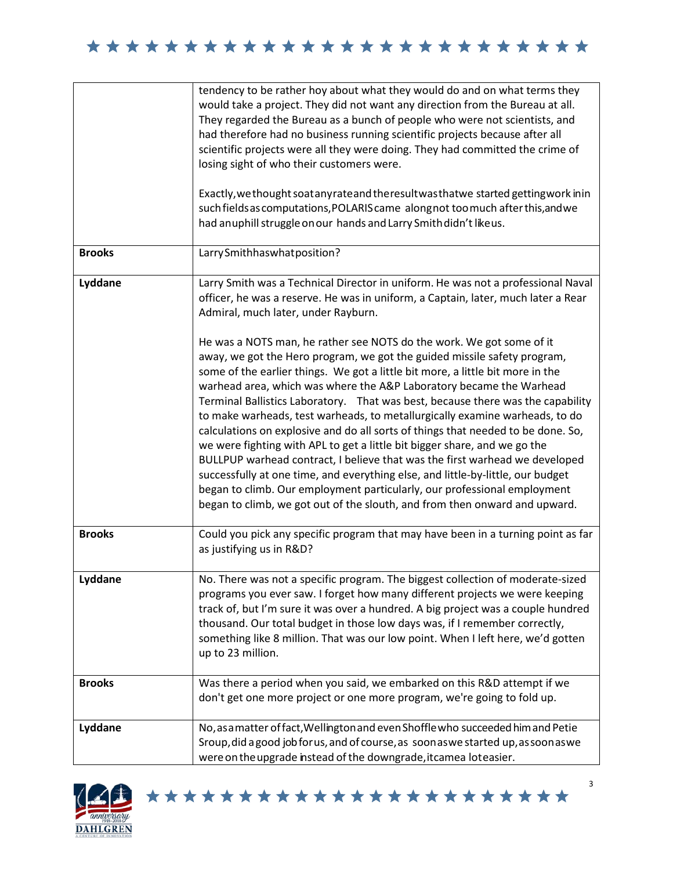|               | tendency to be rather hoy about what they would do and on what terms they<br>would take a project. They did not want any direction from the Bureau at all.<br>They regarded the Bureau as a bunch of people who were not scientists, and<br>had therefore had no business running scientific projects because after all<br>scientific projects were all they were doing. They had committed the crime of<br>losing sight of who their customers were.                                                                                                                                                                                                                                                                                                                                                                                                                                                                                                                    |
|---------------|--------------------------------------------------------------------------------------------------------------------------------------------------------------------------------------------------------------------------------------------------------------------------------------------------------------------------------------------------------------------------------------------------------------------------------------------------------------------------------------------------------------------------------------------------------------------------------------------------------------------------------------------------------------------------------------------------------------------------------------------------------------------------------------------------------------------------------------------------------------------------------------------------------------------------------------------------------------------------|
|               | Exactly, we thought soat any rate and the result was that we started getting work in in<br>such fields as computations, POLARIS came along not too much after this, and we<br>had anuphill struggle on our hands and Larry Smith didn't likeus.                                                                                                                                                                                                                                                                                                                                                                                                                                                                                                                                                                                                                                                                                                                          |
| <b>Brooks</b> | Larry Smithhas what position?                                                                                                                                                                                                                                                                                                                                                                                                                                                                                                                                                                                                                                                                                                                                                                                                                                                                                                                                            |
| Lyddane       | Larry Smith was a Technical Director in uniform. He was not a professional Naval<br>officer, he was a reserve. He was in uniform, a Captain, later, much later a Rear<br>Admiral, much later, under Rayburn.                                                                                                                                                                                                                                                                                                                                                                                                                                                                                                                                                                                                                                                                                                                                                             |
|               | He was a NOTS man, he rather see NOTS do the work. We got some of it<br>away, we got the Hero program, we got the guided missile safety program,<br>some of the earlier things. We got a little bit more, a little bit more in the<br>warhead area, which was where the A&P Laboratory became the Warhead<br>Terminal Ballistics Laboratory. That was best, because there was the capability<br>to make warheads, test warheads, to metallurgically examine warheads, to do<br>calculations on explosive and do all sorts of things that needed to be done. So,<br>we were fighting with APL to get a little bit bigger share, and we go the<br>BULLPUP warhead contract, I believe that was the first warhead we developed<br>successfully at one time, and everything else, and little-by-little, our budget<br>began to climb. Our employment particularly, our professional employment<br>began to climb, we got out of the slouth, and from then onward and upward. |
| <b>Brooks</b> | Could you pick any specific program that may have been in a turning point as far<br>as justifying us in R&D?                                                                                                                                                                                                                                                                                                                                                                                                                                                                                                                                                                                                                                                                                                                                                                                                                                                             |
| Lyddane       | No. There was not a specific program. The biggest collection of moderate-sized<br>programs you ever saw. I forget how many different projects we were keeping<br>track of, but I'm sure it was over a hundred. A big project was a couple hundred<br>thousand. Our total budget in those low days was, if I remember correctly,<br>something like 8 million. That was our low point. When I left here, we'd gotten<br>up to 23 million.                                                                                                                                                                                                                                                                                                                                                                                                                                                                                                                                  |
| <b>Brooks</b> | Was there a period when you said, we embarked on this R&D attempt if we<br>don't get one more project or one more program, we're going to fold up.                                                                                                                                                                                                                                                                                                                                                                                                                                                                                                                                                                                                                                                                                                                                                                                                                       |
| Lyddane       | No, as a matter of fact, Wellington and even Shoffle who succeeded him and Petie<br>Sroup, did a good job forus, and of course, as soon as we started up, as soon as we<br>were on the upgrade instead of the downgrade, it camea loteasier.                                                                                                                                                                                                                                                                                                                                                                                                                                                                                                                                                                                                                                                                                                                             |

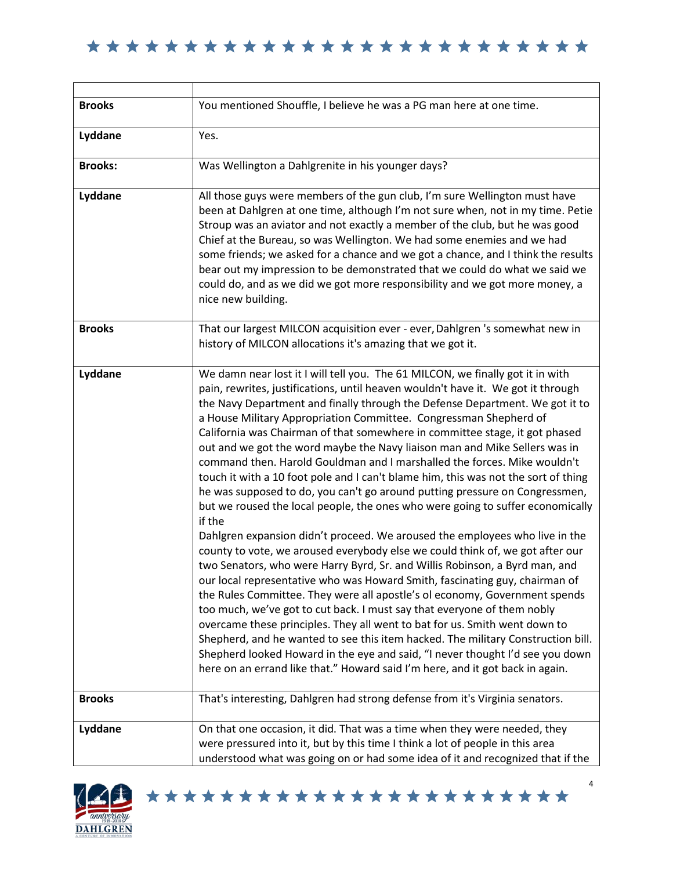| <b>Brooks</b>  | You mentioned Shouffle, I believe he was a PG man here at one time.                                                                                                                                                                                                                                                                                                                                                                                                                                                                                                                                                                                                                                                                                                                                                                                                                                                                                                                                                                                                                                                                                                                                                                                                                                                                                                                                                                                                                                                                                                                                                                                          |
|----------------|--------------------------------------------------------------------------------------------------------------------------------------------------------------------------------------------------------------------------------------------------------------------------------------------------------------------------------------------------------------------------------------------------------------------------------------------------------------------------------------------------------------------------------------------------------------------------------------------------------------------------------------------------------------------------------------------------------------------------------------------------------------------------------------------------------------------------------------------------------------------------------------------------------------------------------------------------------------------------------------------------------------------------------------------------------------------------------------------------------------------------------------------------------------------------------------------------------------------------------------------------------------------------------------------------------------------------------------------------------------------------------------------------------------------------------------------------------------------------------------------------------------------------------------------------------------------------------------------------------------------------------------------------------------|
| Lyddane        | Yes.                                                                                                                                                                                                                                                                                                                                                                                                                                                                                                                                                                                                                                                                                                                                                                                                                                                                                                                                                                                                                                                                                                                                                                                                                                                                                                                                                                                                                                                                                                                                                                                                                                                         |
| <b>Brooks:</b> | Was Wellington a Dahlgrenite in his younger days?                                                                                                                                                                                                                                                                                                                                                                                                                                                                                                                                                                                                                                                                                                                                                                                                                                                                                                                                                                                                                                                                                                                                                                                                                                                                                                                                                                                                                                                                                                                                                                                                            |
| Lyddane        | All those guys were members of the gun club, I'm sure Wellington must have<br>been at Dahlgren at one time, although I'm not sure when, not in my time. Petie<br>Stroup was an aviator and not exactly a member of the club, but he was good<br>Chief at the Bureau, so was Wellington. We had some enemies and we had<br>some friends; we asked for a chance and we got a chance, and I think the results<br>bear out my impression to be demonstrated that we could do what we said we<br>could do, and as we did we got more responsibility and we got more money, a<br>nice new building.                                                                                                                                                                                                                                                                                                                                                                                                                                                                                                                                                                                                                                                                                                                                                                                                                                                                                                                                                                                                                                                                |
| <b>Brooks</b>  | That our largest MILCON acquisition ever - ever, Dahlgren 's somewhat new in<br>history of MILCON allocations it's amazing that we got it.                                                                                                                                                                                                                                                                                                                                                                                                                                                                                                                                                                                                                                                                                                                                                                                                                                                                                                                                                                                                                                                                                                                                                                                                                                                                                                                                                                                                                                                                                                                   |
| Lyddane        | We damn near lost it I will tell you. The 61 MILCON, we finally got it in with<br>pain, rewrites, justifications, until heaven wouldn't have it. We got it through<br>the Navy Department and finally through the Defense Department. We got it to<br>a House Military Appropriation Committee. Congressman Shepherd of<br>California was Chairman of that somewhere in committee stage, it got phased<br>out and we got the word maybe the Navy liaison man and Mike Sellers was in<br>command then. Harold Gouldman and I marshalled the forces. Mike wouldn't<br>touch it with a 10 foot pole and I can't blame him, this was not the sort of thing<br>he was supposed to do, you can't go around putting pressure on Congressmen,<br>but we roused the local people, the ones who were going to suffer economically<br>if the<br>Dahlgren expansion didn't proceed. We aroused the employees who live in the<br>county to vote, we aroused everybody else we could think of, we got after our<br>two Senators, who were Harry Byrd, Sr. and Willis Robinson, a Byrd man, and<br>our local representative who was Howard Smith, fascinating guy, chairman of<br>the Rules Committee. They were all apostle's ol economy, Government spends<br>too much, we've got to cut back. I must say that everyone of them nobly<br>overcame these principles. They all went to bat for us. Smith went down to<br>Shepherd, and he wanted to see this item hacked. The military Construction bill.<br>Shepherd looked Howard in the eye and said, "I never thought I'd see you down<br>here on an errand like that." Howard said I'm here, and it got back in again. |
| <b>Brooks</b>  | That's interesting, Dahlgren had strong defense from it's Virginia senators.                                                                                                                                                                                                                                                                                                                                                                                                                                                                                                                                                                                                                                                                                                                                                                                                                                                                                                                                                                                                                                                                                                                                                                                                                                                                                                                                                                                                                                                                                                                                                                                 |
| Lyddane        | On that one occasion, it did. That was a time when they were needed, they<br>were pressured into it, but by this time I think a lot of people in this area<br>understood what was going on or had some idea of it and recognized that if the                                                                                                                                                                                                                                                                                                                                                                                                                                                                                                                                                                                                                                                                                                                                                                                                                                                                                                                                                                                                                                                                                                                                                                                                                                                                                                                                                                                                                 |



 $\mathbf{I}$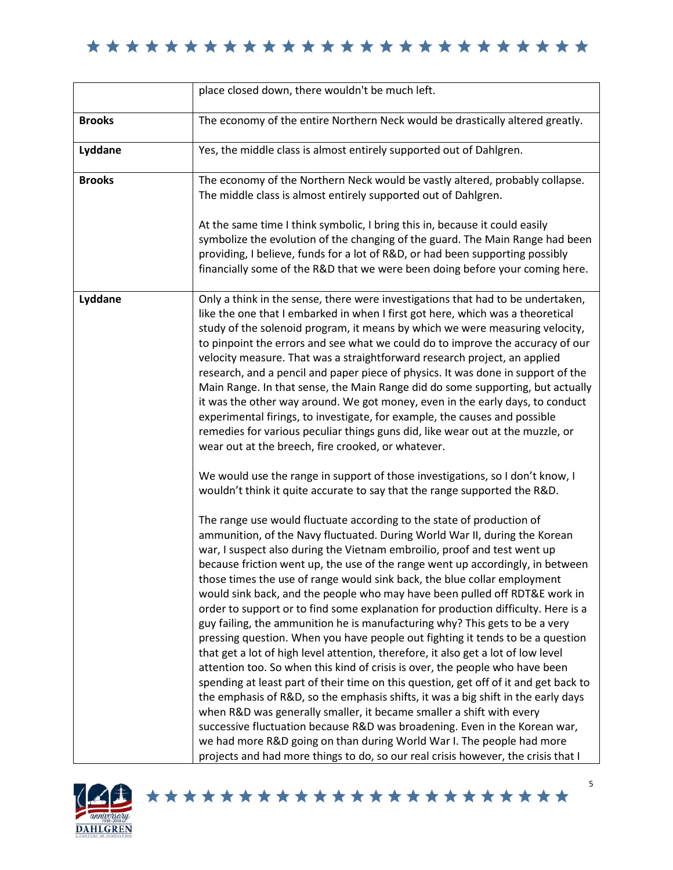|               | place closed down, there wouldn't be much left.                                                                                                                                                                                                                                                                                                                                                                                                                                                                                                                                                                                                                                                                                                                                                                                                                                                                                                                                                                                                                                                                                                                                                                                                                                                                                                                                                         |
|---------------|---------------------------------------------------------------------------------------------------------------------------------------------------------------------------------------------------------------------------------------------------------------------------------------------------------------------------------------------------------------------------------------------------------------------------------------------------------------------------------------------------------------------------------------------------------------------------------------------------------------------------------------------------------------------------------------------------------------------------------------------------------------------------------------------------------------------------------------------------------------------------------------------------------------------------------------------------------------------------------------------------------------------------------------------------------------------------------------------------------------------------------------------------------------------------------------------------------------------------------------------------------------------------------------------------------------------------------------------------------------------------------------------------------|
| <b>Brooks</b> | The economy of the entire Northern Neck would be drastically altered greatly.                                                                                                                                                                                                                                                                                                                                                                                                                                                                                                                                                                                                                                                                                                                                                                                                                                                                                                                                                                                                                                                                                                                                                                                                                                                                                                                           |
| Lyddane       | Yes, the middle class is almost entirely supported out of Dahlgren.                                                                                                                                                                                                                                                                                                                                                                                                                                                                                                                                                                                                                                                                                                                                                                                                                                                                                                                                                                                                                                                                                                                                                                                                                                                                                                                                     |
| <b>Brooks</b> | The economy of the Northern Neck would be vastly altered, probably collapse.<br>The middle class is almost entirely supported out of Dahlgren.                                                                                                                                                                                                                                                                                                                                                                                                                                                                                                                                                                                                                                                                                                                                                                                                                                                                                                                                                                                                                                                                                                                                                                                                                                                          |
|               | At the same time I think symbolic, I bring this in, because it could easily<br>symbolize the evolution of the changing of the guard. The Main Range had been<br>providing, I believe, funds for a lot of R&D, or had been supporting possibly<br>financially some of the R&D that we were been doing before your coming here.                                                                                                                                                                                                                                                                                                                                                                                                                                                                                                                                                                                                                                                                                                                                                                                                                                                                                                                                                                                                                                                                           |
| Lyddane       | Only a think in the sense, there were investigations that had to be undertaken,<br>like the one that I embarked in when I first got here, which was a theoretical<br>study of the solenoid program, it means by which we were measuring velocity,<br>to pinpoint the errors and see what we could do to improve the accuracy of our<br>velocity measure. That was a straightforward research project, an applied<br>research, and a pencil and paper piece of physics. It was done in support of the<br>Main Range. In that sense, the Main Range did do some supporting, but actually<br>it was the other way around. We got money, even in the early days, to conduct<br>experimental firings, to investigate, for example, the causes and possible<br>remedies for various peculiar things guns did, like wear out at the muzzle, or<br>wear out at the breech, fire crooked, or whatever.                                                                                                                                                                                                                                                                                                                                                                                                                                                                                                           |
|               | We would use the range in support of those investigations, so I don't know, I<br>wouldn't think it quite accurate to say that the range supported the R&D.                                                                                                                                                                                                                                                                                                                                                                                                                                                                                                                                                                                                                                                                                                                                                                                                                                                                                                                                                                                                                                                                                                                                                                                                                                              |
|               | The range use would fluctuate according to the state of production of<br>ammunition, of the Navy fluctuated. During World War II, during the Korean<br>war, I suspect also during the Vietnam embroilio, proof and test went up<br>because friction went up, the use of the range went up accordingly, in between<br>those times the use of range would sink back, the blue collar employment<br>would sink back, and the people who may have been pulled off RDT&E work in<br>order to support or to find some explanation for production difficulty. Here is a<br>guy failing, the ammunition he is manufacturing why? This gets to be a very<br>pressing question. When you have people out fighting it tends to be a question<br>that get a lot of high level attention, therefore, it also get a lot of low level<br>attention too. So when this kind of crisis is over, the people who have been<br>spending at least part of their time on this question, get off of it and get back to<br>the emphasis of R&D, so the emphasis shifts, it was a big shift in the early days<br>when R&D was generally smaller, it became smaller a shift with every<br>successive fluctuation because R&D was broadening. Even in the Korean war,<br>we had more R&D going on than during World War I. The people had more<br>projects and had more things to do, so our real crisis however, the crisis that I |

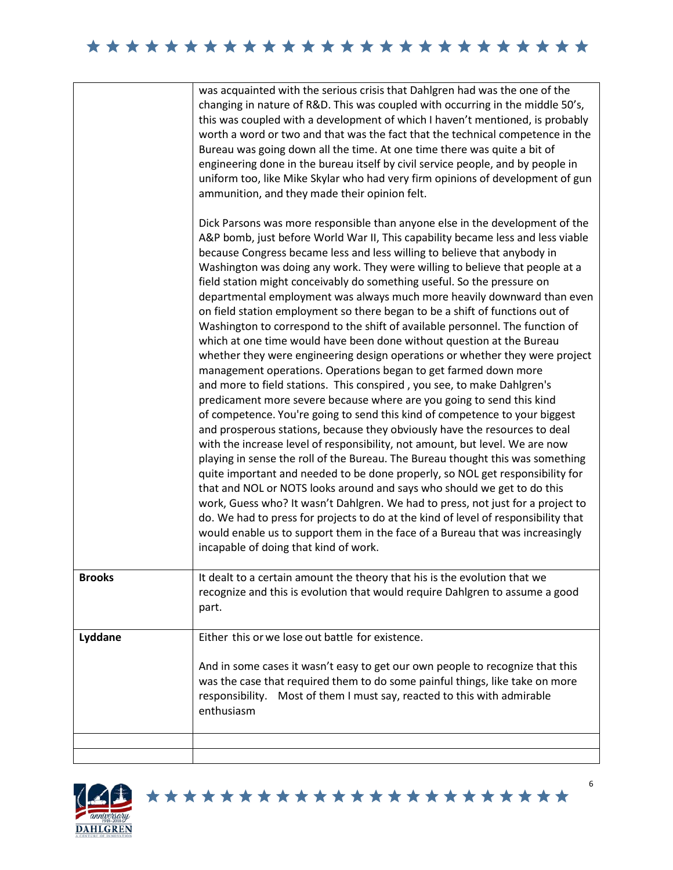|               | was acquainted with the serious crisis that Dahlgren had was the one of the<br>changing in nature of R&D. This was coupled with occurring in the middle 50's,<br>this was coupled with a development of which I haven't mentioned, is probably<br>worth a word or two and that was the fact that the technical competence in the<br>Bureau was going down all the time. At one time there was quite a bit of<br>engineering done in the bureau itself by civil service people, and by people in<br>uniform too, like Mike Skylar who had very firm opinions of development of gun<br>ammunition, and they made their opinion felt.<br>Dick Parsons was more responsible than anyone else in the development of the<br>A&P bomb, just before World War II, This capability became less and less viable<br>because Congress became less and less willing to believe that anybody in<br>Washington was doing any work. They were willing to believe that people at a<br>field station might conceivably do something useful. So the pressure on<br>departmental employment was always much more heavily downward than even<br>on field station employment so there began to be a shift of functions out of<br>Washington to correspond to the shift of available personnel. The function of<br>which at one time would have been done without question at the Bureau<br>whether they were engineering design operations or whether they were project<br>management operations. Operations began to get farmed down more<br>and more to field stations. This conspired, you see, to make Dahlgren's<br>predicament more severe because where are you going to send this kind<br>of competence. You're going to send this kind of competence to your biggest<br>and prosperous stations, because they obviously have the resources to deal<br>with the increase level of responsibility, not amount, but level. We are now<br>playing in sense the roll of the Bureau. The Bureau thought this was something<br>quite important and needed to be done properly, so NOL get responsibility for<br>that and NOL or NOTS looks around and says who should we get to do this<br>work, Guess who? It wasn't Dahlgren. We had to press, not just for a project to<br>do. We had to press for projects to do at the kind of level of responsibility that<br>would enable us to support them in the face of a Bureau that was increasingly<br>incapable of doing that kind of work. |
|---------------|------------------------------------------------------------------------------------------------------------------------------------------------------------------------------------------------------------------------------------------------------------------------------------------------------------------------------------------------------------------------------------------------------------------------------------------------------------------------------------------------------------------------------------------------------------------------------------------------------------------------------------------------------------------------------------------------------------------------------------------------------------------------------------------------------------------------------------------------------------------------------------------------------------------------------------------------------------------------------------------------------------------------------------------------------------------------------------------------------------------------------------------------------------------------------------------------------------------------------------------------------------------------------------------------------------------------------------------------------------------------------------------------------------------------------------------------------------------------------------------------------------------------------------------------------------------------------------------------------------------------------------------------------------------------------------------------------------------------------------------------------------------------------------------------------------------------------------------------------------------------------------------------------------------------------------------------------------------------------------------------------------------------------------------------------------------------------------------------------------------------------------------------------------------------------------------------------------------------------------------------------------------------------------------------------------------------------------------------------------------------------------------------------------------------------------------------------------------------|
| <b>Brooks</b> | It dealt to a certain amount the theory that his is the evolution that we<br>recognize and this is evolution that would require Dahlgren to assume a good<br>part.                                                                                                                                                                                                                                                                                                                                                                                                                                                                                                                                                                                                                                                                                                                                                                                                                                                                                                                                                                                                                                                                                                                                                                                                                                                                                                                                                                                                                                                                                                                                                                                                                                                                                                                                                                                                                                                                                                                                                                                                                                                                                                                                                                                                                                                                                                     |
| Lyddane       | Either this or we lose out battle for existence.                                                                                                                                                                                                                                                                                                                                                                                                                                                                                                                                                                                                                                                                                                                                                                                                                                                                                                                                                                                                                                                                                                                                                                                                                                                                                                                                                                                                                                                                                                                                                                                                                                                                                                                                                                                                                                                                                                                                                                                                                                                                                                                                                                                                                                                                                                                                                                                                                       |
|               | And in some cases it wasn't easy to get our own people to recognize that this<br>was the case that required them to do some painful things, like take on more<br>Most of them I must say, reacted to this with admirable<br>responsibility.<br>enthusiasm                                                                                                                                                                                                                                                                                                                                                                                                                                                                                                                                                                                                                                                                                                                                                                                                                                                                                                                                                                                                                                                                                                                                                                                                                                                                                                                                                                                                                                                                                                                                                                                                                                                                                                                                                                                                                                                                                                                                                                                                                                                                                                                                                                                                              |
|               |                                                                                                                                                                                                                                                                                                                                                                                                                                                                                                                                                                                                                                                                                                                                                                                                                                                                                                                                                                                                                                                                                                                                                                                                                                                                                                                                                                                                                                                                                                                                                                                                                                                                                                                                                                                                                                                                                                                                                                                                                                                                                                                                                                                                                                                                                                                                                                                                                                                                        |
|               |                                                                                                                                                                                                                                                                                                                                                                                                                                                                                                                                                                                                                                                                                                                                                                                                                                                                                                                                                                                                                                                                                                                                                                                                                                                                                                                                                                                                                                                                                                                                                                                                                                                                                                                                                                                                                                                                                                                                                                                                                                                                                                                                                                                                                                                                                                                                                                                                                                                                        |

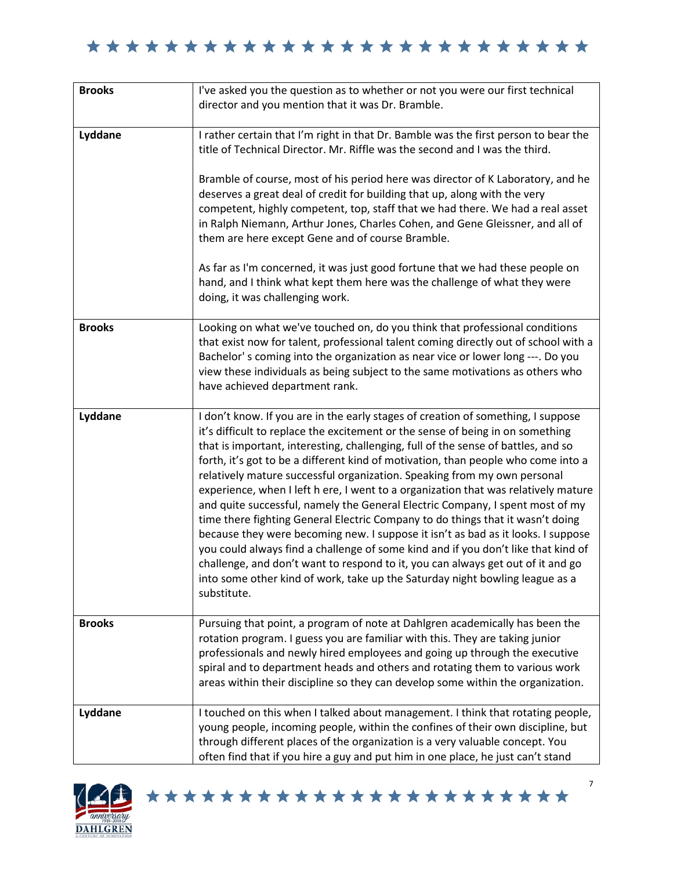| <b>Brooks</b> | I've asked you the question as to whether or not you were our first technical<br>director and you mention that it was Dr. Bramble.                                                                                                                                                                                                                                                                                                                                                                                                                                                                                                                                                                                                                                                                                                                                                                                                                                                                                                           |
|---------------|----------------------------------------------------------------------------------------------------------------------------------------------------------------------------------------------------------------------------------------------------------------------------------------------------------------------------------------------------------------------------------------------------------------------------------------------------------------------------------------------------------------------------------------------------------------------------------------------------------------------------------------------------------------------------------------------------------------------------------------------------------------------------------------------------------------------------------------------------------------------------------------------------------------------------------------------------------------------------------------------------------------------------------------------|
| Lyddane       | I rather certain that I'm right in that Dr. Bamble was the first person to bear the<br>title of Technical Director. Mr. Riffle was the second and I was the third.<br>Bramble of course, most of his period here was director of K Laboratory, and he<br>deserves a great deal of credit for building that up, along with the very<br>competent, highly competent, top, staff that we had there. We had a real asset<br>in Ralph Niemann, Arthur Jones, Charles Cohen, and Gene Gleissner, and all of<br>them are here except Gene and of course Bramble.<br>As far as I'm concerned, it was just good fortune that we had these people on<br>hand, and I think what kept them here was the challenge of what they were<br>doing, it was challenging work.                                                                                                                                                                                                                                                                                   |
| <b>Brooks</b> | Looking on what we've touched on, do you think that professional conditions<br>that exist now for talent, professional talent coming directly out of school with a<br>Bachelor's coming into the organization as near vice or lower long ---. Do you<br>view these individuals as being subject to the same motivations as others who<br>have achieved department rank.                                                                                                                                                                                                                                                                                                                                                                                                                                                                                                                                                                                                                                                                      |
| Lyddane       | I don't know. If you are in the early stages of creation of something, I suppose<br>it's difficult to replace the excitement or the sense of being in on something<br>that is important, interesting, challenging, full of the sense of battles, and so<br>forth, it's got to be a different kind of motivation, than people who come into a<br>relatively mature successful organization. Speaking from my own personal<br>experience, when I left h ere, I went to a organization that was relatively mature<br>and quite successful, namely the General Electric Company, I spent most of my<br>time there fighting General Electric Company to do things that it wasn't doing<br>because they were becoming new. I suppose it isn't as bad as it looks. I suppose<br>you could always find a challenge of some kind and if you don't like that kind of<br>challenge, and don't want to respond to it, you can always get out of it and go<br>into some other kind of work, take up the Saturday night bowling league as a<br>substitute. |
| <b>Brooks</b> | Pursuing that point, a program of note at Dahlgren academically has been the<br>rotation program. I guess you are familiar with this. They are taking junior<br>professionals and newly hired employees and going up through the executive<br>spiral and to department heads and others and rotating them to various work<br>areas within their discipline so they can develop some within the organization.                                                                                                                                                                                                                                                                                                                                                                                                                                                                                                                                                                                                                                 |
| Lyddane       | I touched on this when I talked about management. I think that rotating people,<br>young people, incoming people, within the confines of their own discipline, but<br>through different places of the organization is a very valuable concept. You<br>often find that if you hire a guy and put him in one place, he just can't stand                                                                                                                                                                                                                                                                                                                                                                                                                                                                                                                                                                                                                                                                                                        |

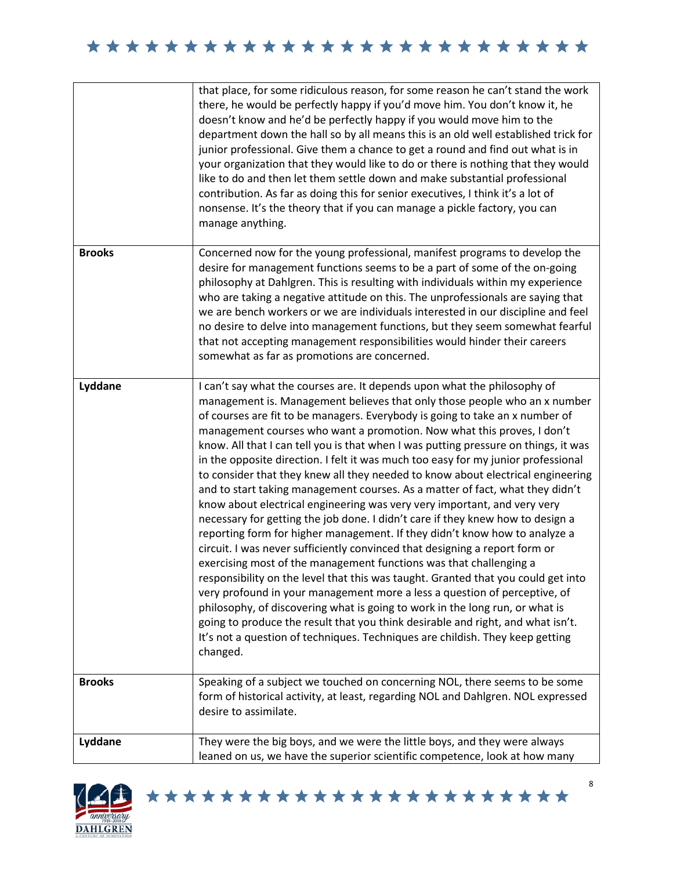|               | that place, for some ridiculous reason, for some reason he can't stand the work<br>there, he would be perfectly happy if you'd move him. You don't know it, he<br>doesn't know and he'd be perfectly happy if you would move him to the<br>department down the hall so by all means this is an old well established trick for<br>junior professional. Give them a chance to get a round and find out what is in<br>your organization that they would like to do or there is nothing that they would<br>like to do and then let them settle down and make substantial professional<br>contribution. As far as doing this for senior executives, I think it's a lot of<br>nonsense. It's the theory that if you can manage a pickle factory, you can<br>manage anything.                                                                                                                                                                                                                                                                                                                                                                                                                                                                                                                                                                                                                                                                                                                             |
|---------------|----------------------------------------------------------------------------------------------------------------------------------------------------------------------------------------------------------------------------------------------------------------------------------------------------------------------------------------------------------------------------------------------------------------------------------------------------------------------------------------------------------------------------------------------------------------------------------------------------------------------------------------------------------------------------------------------------------------------------------------------------------------------------------------------------------------------------------------------------------------------------------------------------------------------------------------------------------------------------------------------------------------------------------------------------------------------------------------------------------------------------------------------------------------------------------------------------------------------------------------------------------------------------------------------------------------------------------------------------------------------------------------------------------------------------------------------------------------------------------------------------|
| <b>Brooks</b> | Concerned now for the young professional, manifest programs to develop the<br>desire for management functions seems to be a part of some of the on-going<br>philosophy at Dahlgren. This is resulting with individuals within my experience<br>who are taking a negative attitude on this. The unprofessionals are saying that<br>we are bench workers or we are individuals interested in our discipline and feel<br>no desire to delve into management functions, but they seem somewhat fearful<br>that not accepting management responsibilities would hinder their careers<br>somewhat as far as promotions are concerned.                                                                                                                                                                                                                                                                                                                                                                                                                                                                                                                                                                                                                                                                                                                                                                                                                                                                    |
| Lyddane       | I can't say what the courses are. It depends upon what the philosophy of<br>management is. Management believes that only those people who an x number<br>of courses are fit to be managers. Everybody is going to take an x number of<br>management courses who want a promotion. Now what this proves, I don't<br>know. All that I can tell you is that when I was putting pressure on things, it was<br>in the opposite direction. I felt it was much too easy for my junior professional<br>to consider that they knew all they needed to know about electrical engineering<br>and to start taking management courses. As a matter of fact, what they didn't<br>know about electrical engineering was very very important, and very very<br>necessary for getting the job done. I didn't care if they knew how to design a<br>reporting form for higher management. If they didn't know how to analyze a<br>circuit. I was never sufficiently convinced that designing a report form or<br>exercising most of the management functions was that challenging a<br>responsibility on the level that this was taught. Granted that you could get into<br>very profound in your management more a less a question of perceptive, of<br>philosophy, of discovering what is going to work in the long run, or what is<br>going to produce the result that you think desirable and right, and what isn't.<br>It's not a question of techniques. Techniques are childish. They keep getting<br>changed. |
| <b>Brooks</b> | Speaking of a subject we touched on concerning NOL, there seems to be some<br>form of historical activity, at least, regarding NOL and Dahlgren. NOL expressed<br>desire to assimilate.                                                                                                                                                                                                                                                                                                                                                                                                                                                                                                                                                                                                                                                                                                                                                                                                                                                                                                                                                                                                                                                                                                                                                                                                                                                                                                            |
| Lyddane       | They were the big boys, and we were the little boys, and they were always<br>leaned on us, we have the superior scientific competence, look at how many                                                                                                                                                                                                                                                                                                                                                                                                                                                                                                                                                                                                                                                                                                                                                                                                                                                                                                                                                                                                                                                                                                                                                                                                                                                                                                                                            |

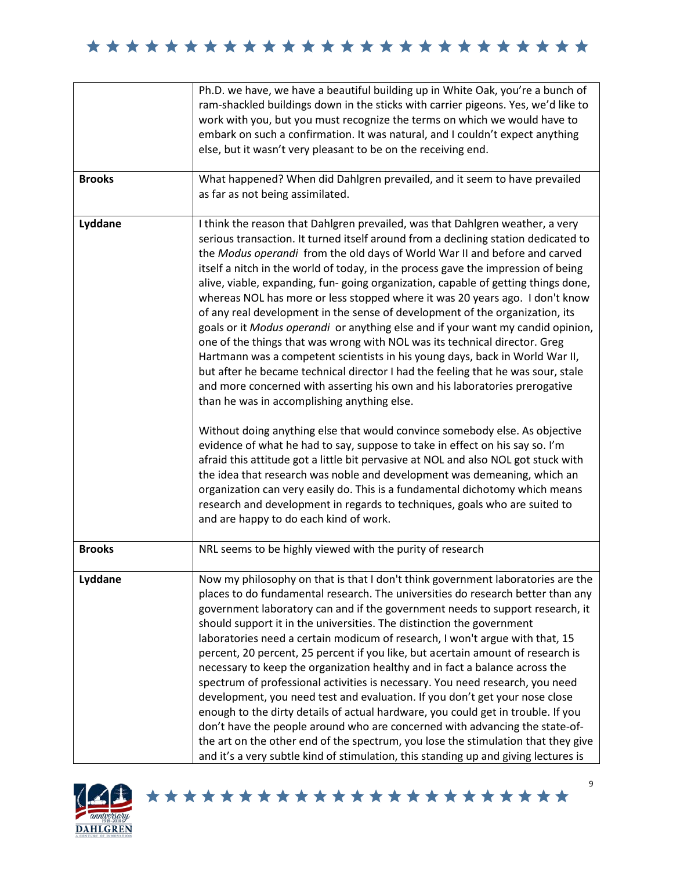|               | Ph.D. we have, we have a beautiful building up in White Oak, you're a bunch of<br>ram-shackled buildings down in the sticks with carrier pigeons. Yes, we'd like to<br>work with you, but you must recognize the terms on which we would have to<br>embark on such a confirmation. It was natural, and I couldn't expect anything<br>else, but it wasn't very pleasant to be on the receiving end.                                                                                                                                                                                                                                                                                                                                                                                                                                                                                                                                                                                                                                                                                                                                                                                                                                                                                                                                                                                                                                                                                                                                                                                                     |
|---------------|--------------------------------------------------------------------------------------------------------------------------------------------------------------------------------------------------------------------------------------------------------------------------------------------------------------------------------------------------------------------------------------------------------------------------------------------------------------------------------------------------------------------------------------------------------------------------------------------------------------------------------------------------------------------------------------------------------------------------------------------------------------------------------------------------------------------------------------------------------------------------------------------------------------------------------------------------------------------------------------------------------------------------------------------------------------------------------------------------------------------------------------------------------------------------------------------------------------------------------------------------------------------------------------------------------------------------------------------------------------------------------------------------------------------------------------------------------------------------------------------------------------------------------------------------------------------------------------------------------|
| <b>Brooks</b> | What happened? When did Dahlgren prevailed, and it seem to have prevailed<br>as far as not being assimilated.                                                                                                                                                                                                                                                                                                                                                                                                                                                                                                                                                                                                                                                                                                                                                                                                                                                                                                                                                                                                                                                                                                                                                                                                                                                                                                                                                                                                                                                                                          |
| Lyddane       | I think the reason that Dahlgren prevailed, was that Dahlgren weather, a very<br>serious transaction. It turned itself around from a declining station dedicated to<br>the Modus operandi from the old days of World War II and before and carved<br>itself a nitch in the world of today, in the process gave the impression of being<br>alive, viable, expanding, fun-going organization, capable of getting things done,<br>whereas NOL has more or less stopped where it was 20 years ago. I don't know<br>of any real development in the sense of development of the organization, its<br>goals or it Modus operandi or anything else and if your want my candid opinion,<br>one of the things that was wrong with NOL was its technical director. Greg<br>Hartmann was a competent scientists in his young days, back in World War II,<br>but after he became technical director I had the feeling that he was sour, stale<br>and more concerned with asserting his own and his laboratories prerogative<br>than he was in accomplishing anything else.<br>Without doing anything else that would convince somebody else. As objective<br>evidence of what he had to say, suppose to take in effect on his say so. I'm<br>afraid this attitude got a little bit pervasive at NOL and also NOL got stuck with<br>the idea that research was noble and development was demeaning, which an<br>organization can very easily do. This is a fundamental dichotomy which means<br>research and development in regards to techniques, goals who are suited to<br>and are happy to do each kind of work. |
| <b>Brooks</b> | NRL seems to be highly viewed with the purity of research                                                                                                                                                                                                                                                                                                                                                                                                                                                                                                                                                                                                                                                                                                                                                                                                                                                                                                                                                                                                                                                                                                                                                                                                                                                                                                                                                                                                                                                                                                                                              |
| Lyddane       | Now my philosophy on that is that I don't think government laboratories are the<br>places to do fundamental research. The universities do research better than any<br>government laboratory can and if the government needs to support research, it<br>should support it in the universities. The distinction the government<br>laboratories need a certain modicum of research, I won't argue with that, 15<br>percent, 20 percent, 25 percent if you like, but acertain amount of research is<br>necessary to keep the organization healthy and in fact a balance across the<br>spectrum of professional activities is necessary. You need research, you need<br>development, you need test and evaluation. If you don't get your nose close<br>enough to the dirty details of actual hardware, you could get in trouble. If you<br>don't have the people around who are concerned with advancing the state-of-<br>the art on the other end of the spectrum, you lose the stimulation that they give<br>and it's a very subtle kind of stimulation, this standing up and giving lectures is                                                                                                                                                                                                                                                                                                                                                                                                                                                                                                          |

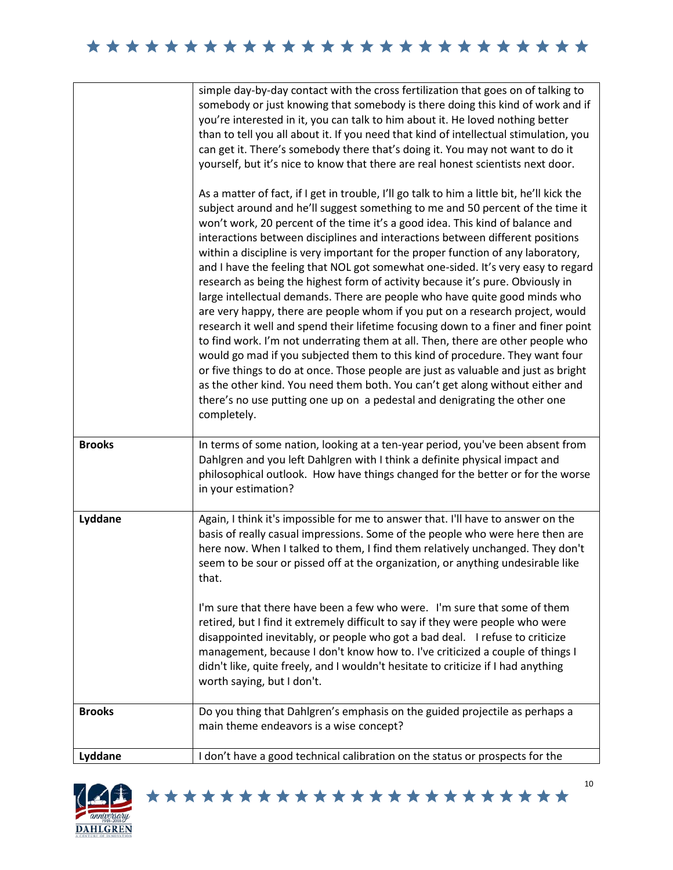|               | simple day-by-day contact with the cross fertilization that goes on of talking to<br>somebody or just knowing that somebody is there doing this kind of work and if<br>you're interested in it, you can talk to him about it. He loved nothing better<br>than to tell you all about it. If you need that kind of intellectual stimulation, you<br>can get it. There's somebody there that's doing it. You may not want to do it<br>yourself, but it's nice to know that there are real honest scientists next door.<br>As a matter of fact, if I get in trouble, I'll go talk to him a little bit, he'll kick the<br>subject around and he'll suggest something to me and 50 percent of the time it<br>won't work, 20 percent of the time it's a good idea. This kind of balance and<br>interactions between disciplines and interactions between different positions<br>within a discipline is very important for the proper function of any laboratory,<br>and I have the feeling that NOL got somewhat one-sided. It's very easy to regard<br>research as being the highest form of activity because it's pure. Obviously in<br>large intellectual demands. There are people who have quite good minds who<br>are very happy, there are people whom if you put on a research project, would<br>research it well and spend their lifetime focusing down to a finer and finer point<br>to find work. I'm not underrating them at all. Then, there are other people who<br>would go mad if you subjected them to this kind of procedure. They want four<br>or five things to do at once. Those people are just as valuable and just as bright<br>as the other kind. You need them both. You can't get along without either and<br>there's no use putting one up on a pedestal and denigrating the other one<br>completely. |
|---------------|----------------------------------------------------------------------------------------------------------------------------------------------------------------------------------------------------------------------------------------------------------------------------------------------------------------------------------------------------------------------------------------------------------------------------------------------------------------------------------------------------------------------------------------------------------------------------------------------------------------------------------------------------------------------------------------------------------------------------------------------------------------------------------------------------------------------------------------------------------------------------------------------------------------------------------------------------------------------------------------------------------------------------------------------------------------------------------------------------------------------------------------------------------------------------------------------------------------------------------------------------------------------------------------------------------------------------------------------------------------------------------------------------------------------------------------------------------------------------------------------------------------------------------------------------------------------------------------------------------------------------------------------------------------------------------------------------------------------------------------------------------------------------------------------------------------------------|
| <b>Brooks</b> | In terms of some nation, looking at a ten-year period, you've been absent from<br>Dahlgren and you left Dahlgren with I think a definite physical impact and<br>philosophical outlook. How have things changed for the better or for the worse<br>in your estimation?                                                                                                                                                                                                                                                                                                                                                                                                                                                                                                                                                                                                                                                                                                                                                                                                                                                                                                                                                                                                                                                                                                                                                                                                                                                                                                                                                                                                                                                                                                                                                      |
| Lyddane       | Again, I think it's impossible for me to answer that. I'll have to answer on the<br>basis of really casual impressions. Some of the people who were here then are<br>here now. When I talked to them, I find them relatively unchanged. They don't<br>seem to be sour or pissed off at the organization, or anything undesirable like<br>that.<br>I'm sure that there have been a few who were. I'm sure that some of them<br>retired, but I find it extremely difficult to say if they were people who were<br>disappointed inevitably, or people who got a bad deal. I refuse to criticize<br>management, because I don't know how to. I've criticized a couple of things I<br>didn't like, quite freely, and I wouldn't hesitate to criticize if I had anything<br>worth saying, but I don't.                                                                                                                                                                                                                                                                                                                                                                                                                                                                                                                                                                                                                                                                                                                                                                                                                                                                                                                                                                                                                           |
| <b>Brooks</b> | Do you thing that Dahlgren's emphasis on the guided projectile as perhaps a<br>main theme endeavors is a wise concept?                                                                                                                                                                                                                                                                                                                                                                                                                                                                                                                                                                                                                                                                                                                                                                                                                                                                                                                                                                                                                                                                                                                                                                                                                                                                                                                                                                                                                                                                                                                                                                                                                                                                                                     |
| Lyddane       | I don't have a good technical calibration on the status or prospects for the                                                                                                                                                                                                                                                                                                                                                                                                                                                                                                                                                                                                                                                                                                                                                                                                                                                                                                                                                                                                                                                                                                                                                                                                                                                                                                                                                                                                                                                                                                                                                                                                                                                                                                                                               |